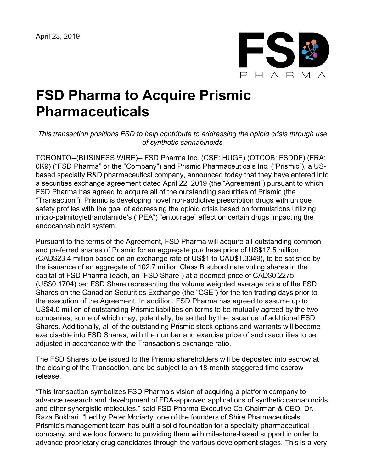

# **FSD Pharma to Acquire Prismic Pharmaceuticals**

#### *This transaction positions FSD to help contribute to addressing the opioid crisis through use of synthetic cannabinoids*

TORONTO--(BUSINESS WIRE)-- FSD Pharma Inc. (CSE: HUGE) (OTCQB: FSDDF) (FRA: 0K9) ("FSD Pharma" or the "Company") and Prismic Pharmaceuticals Inc. ("Prismic"), a USbased specialty R&D pharmaceutical company, announced today that they have entered into a securities exchange agreement dated April 22, 2019 (the "Agreement") pursuant to which FSD Pharma has agreed to acquire all of the outstanding securities of Prismic (the "Transaction"). Prismic is developing novel non-addictive prescription drugs with unique safety profiles with the goal of addressing the opioid crisis based on formulations utilizing micro-palmitoylethanolamide's ("PEA") "entourage" effect on certain drugs impacting the endocannabinoid system.

Pursuant to the terms of the Agreement, FSD Pharma will acquire all outstanding common and preferred shares of Prismic for an aggregate purchase price of US\$17.5 million (CAD\$23.4 million based on an exchange rate of US\$1 to CAD\$1.3349), to be satisfied by the issuance of an aggregate of 102.7 million Class B subordinate voting shares in the capital of FSD Pharma (each, an "FSD Share") at a deemed price of CAD\$0.2275 (US\$0.1704) per FSD Share representing the volume weighted average price of the FSD Shares on the Canadian Securities Exchange (the "CSE") for the ten trading days prior to the execution of the Agreement. In addition, FSD Pharma has agreed to assume up to US\$4.0 million of outstanding Prismic liabilities on terms to be mutually agreed by the two companies, some of which may, potentially, be settled by the issuance of additional FSD Shares. Additionally, all of the outstanding Prismic stock options and warrants will become exercisable into FSD Shares, with the number and exercise price of such securities to be adjusted in accordance with the Transaction's exchange ratio.

The FSD Shares to be issued to the Prismic shareholders will be deposited into escrow at the closing of the Transaction, and be subject to an 18-month staggered time escrow release.

"This transaction symbolizes FSD Pharma's vision of acquiring a platform company to advance research and development of FDA-approved applications of synthetic cannabinoids and other synergistic molecules," said FSD Pharma Executive Co-Chairman & CEO, Dr. Raza Bokhari. "Led by Peter Moriarty, one of the founders of Shire Pharmaceuticals, Prismic's management team has built a solid foundation for a specialty pharmaceutical company, and we look forward to providing them with milestone-based support in order to advance proprietary drug candidates through the various development stages. This is a very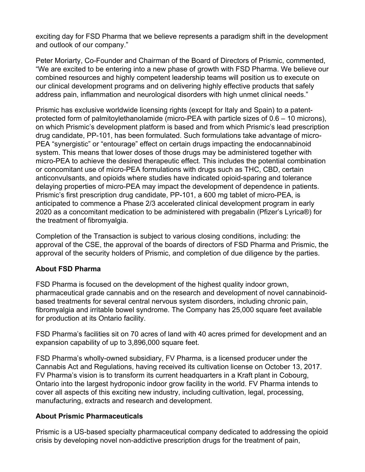exciting day for FSD Pharma that we believe represents a paradigm shift in the development and outlook of our company."

Peter Moriarty, Co-Founder and Chairman of the Board of Directors of Prismic, commented, "We are excited to be entering into a new phase of growth with FSD Pharma. We believe our combined resources and highly competent leadership teams will position us to execute on our clinical development programs and on delivering highly effective products that safely address pain, inflammation and neurological disorders with high unmet clinical needs."

Prismic has exclusive worldwide licensing rights (except for Italy and Spain) to a patentprotected form of palmitoylethanolamide (micro-PEA with particle sizes of 0.6 – 10 microns), on which Prismic's development platform is based and from which Prismic's lead prescription drug candidate, PP-101, has been formulated. Such formulations take advantage of micro-PEA "synergistic" or "entourage" effect on certain drugs impacting the endocannabinoid system. This means that lower doses of those drugs may be administered together with micro-PEA to achieve the desired therapeutic effect. This includes the potential combination or concomitant use of micro-PEA formulations with drugs such as THC, CBD, certain anticonvulsants, and opioids where studies have indicated opioid-sparing and tolerance delaying properties of micro-PEA may impact the development of dependence in patients. Prismic's first prescription drug candidate, PP-101, a 600 mg tablet of micro-PEA, is anticipated to commence a Phase 2/3 accelerated clinical development program in early 2020 as a concomitant medication to be administered with pregabalin (Pfizer's Lyrica®) for the treatment of fibromyalgia.

Completion of the Transaction is subject to various closing conditions, including: the approval of the CSE, the approval of the boards of directors of FSD Pharma and Prismic, the approval of the security holders of Prismic, and completion of due diligence by the parties.

## **About FSD Pharma**

FSD Pharma is focused on the development of the highest quality indoor grown, pharmaceutical grade cannabis and on the research and development of novel cannabinoidbased treatments for several central nervous system disorders, including chronic pain, fibromyalgia and irritable bowel syndrome. The Company has 25,000 square feet available for production at its Ontario facility.

FSD Pharma's facilities sit on 70 acres of land with 40 acres primed for development and an expansion capability of up to 3,896,000 square feet.

FSD Pharma's wholly-owned subsidiary, FV Pharma, is a licensed producer under the Cannabis Act and Regulations, having received its cultivation license on October 13, 2017. FV Pharma's vision is to transform its current headquarters in a Kraft plant in Cobourg, Ontario into the largest hydroponic indoor grow facility in the world. FV Pharma intends to cover all aspects of this exciting new industry, including cultivation, legal, processing, manufacturing, extracts and research and development.

## **About Prismic Pharmaceuticals**

Prismic is a US-based specialty pharmaceutical company dedicated to addressing the opioid crisis by developing novel non-addictive prescription drugs for the treatment of pain,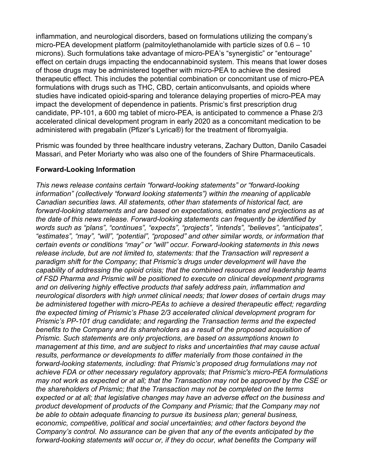inflammation, and neurological disorders, based on formulations utilizing the company's micro-PEA development platform (palmitoylethanolamide with particle sizes of  $0.6 - 10$ microns). Such formulations take advantage of micro-PEA's "synergistic" or "entourage" effect on certain drugs impacting the endocannabinoid system. This means that lower doses of those drugs may be administered together with micro-PEA to achieve the desired therapeutic effect. This includes the potential combination or concomitant use of micro-PEA formulations with drugs such as THC, CBD, certain anticonvulsants, and opioids where studies have indicated opioid-sparing and tolerance delaying properties of micro-PEA may impact the development of dependence in patients. Prismic's first prescription drug candidate, PP-101, a 600 mg tablet of micro-PEA, is anticipated to commence a Phase 2/3 accelerated clinical development program in early 2020 as a concomitant medication to be administered with pregabalin (Pfizer's Lyrica®) for the treatment of fibromyalgia.

Prismic was founded by three healthcare industry veterans, Zachary Dutton, Danilo Casadei Massari, and Peter Moriarty who was also one of the founders of Shire Pharmaceuticals.

## **Forward-Looking Information**

*This news release contains certain "forward-looking statements" or "forward-looking information" (collectively "forward looking statements") within the meaning of applicable Canadian securities laws. All statements, other than statements of historical fact, are forward-looking statements and are based on expectations, estimates and projections as at the date of this news release. Forward-looking statements can frequently be identified by words such as "plans", "continues", "expects", "projects", "intends", "believes", "anticipates", "estimates", "may", "will", "potential", "proposed" and other similar words, or information that certain events or conditions "may" or "will" occur. Forward-looking statements in this news release include, but are not limited to, statements: that the Transaction will represent a paradigm shift for the Company; that Prismic's drugs under development will have the capability of addressing the opioid crisis; that the combined resources and leadership teams of FSD Pharma and Prismic will be positioned to execute on clinical development programs and on delivering highly effective products that safely address pain, inflammation and neurological disorders with high unmet clinical needs; that lower doses of certain drugs may be administered together with micro-PEAs to achieve a desired therapeutic effect; regarding the expected timing of Prismic's Phase 2/3 accelerated clinical development program for Prismic's PP-101 drug candidate; and regarding the Transaction terms and the expected benefits to the Company and its shareholders as a result of the proposed acquisition of Prismic. Such statements are only projections, are based on assumptions known to management at this time, and are subject to risks and uncertainties that may cause actual results, performance or developments to differ materially from those contained in the forward-looking statements, including: that Prismic's proposed drug formulations may not achieve FDA or other necessary regulatory approvals; that Prismic's micro-PEA formulations may not work as expected or at all; that the Transaction may not be approved by the CSE or the shareholders of Prismic; that the Transaction may not be completed on the terms expected or at all; that legislative changes may have an adverse effect on the business and product development of products of the Company and Prismic; that the Company may not be able to obtain adequate financing to pursue its business plan; general business, economic, competitive, political and social uncertainties; and other factors beyond the Company's control. No assurance can be given that any of the events anticipated by the forward-looking statements will occur or, if they do occur, what benefits the Company will*